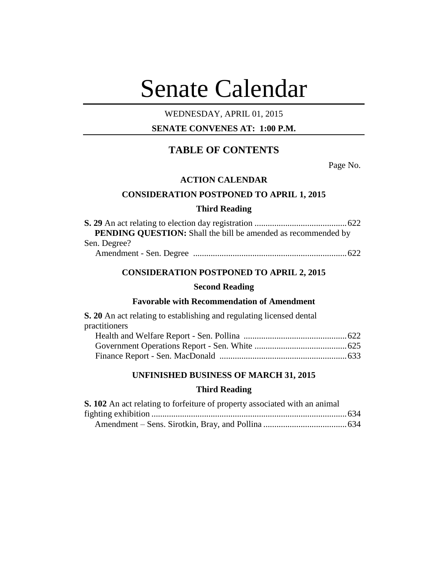# Senate Calendar

## WEDNESDAY, APRIL 01, 2015

## **SENATE CONVENES AT: 1:00 P.M.**

# **TABLE OF CONTENTS**

Page No.

## **ACTION CALENDAR**

## **CONSIDERATION POSTPONED TO APRIL 1, 2015**

## **Third Reading**

| <b>PENDING OUESTION:</b> Shall the bill be amended as recommended by |  |
|----------------------------------------------------------------------|--|
| Sen. Degree?                                                         |  |
|                                                                      |  |

## **CONSIDERATION POSTPONED TO APRIL 2, 2015**

## **Second Reading**

## **Favorable with Recommendation of Amendment**

**S. 20** An act relating to establishing and regulating licensed dental practitioners

## **UNFINISHED BUSINESS OF MARCH 31, 2015**

## **Third Reading**

| S. 102 An act relating to forfeiture of property associated with an animal |  |
|----------------------------------------------------------------------------|--|
|                                                                            |  |
|                                                                            |  |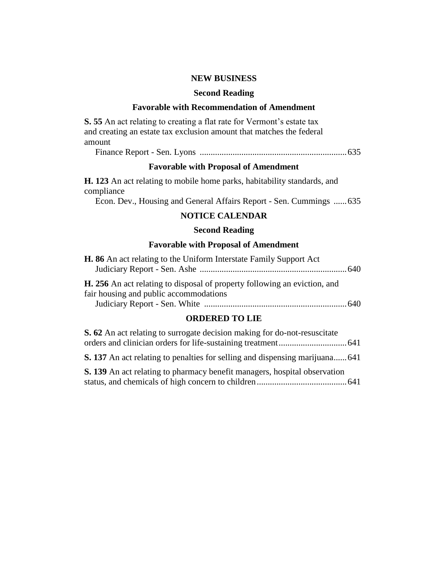## **NEW BUSINESS**

#### **Second Reading**

## **Favorable with Recommendation of Amendment**

**S. 55** An act relating to creating a flat rate for Vermont's estate tax and creating an estate tax exclusion amount that matches the federal amount

Finance Report - Sen. Lyons ...................................................................635

## **Favorable with Proposal of Amendment**

**H. 123** An act relating to mobile home parks, habitability standards, and compliance

Econ. Dev., Housing and General Affairs Report - Sen. Cummings ......635

#### **NOTICE CALENDAR**

## **Second Reading**

#### **Favorable with Proposal of Amendment**

| <b>H. 86</b> An act relating to the Uniform Interstate Family Support Act                                                  |  |
|----------------------------------------------------------------------------------------------------------------------------|--|
|                                                                                                                            |  |
| <b>H.</b> 256 An act relating to disposal of property following an eviction, and<br>fair housing and public accommodations |  |
|                                                                                                                            |  |

## **ORDERED TO LIE**

| S. 62 An act relating to surrogate decision making for do-not-resuscitate           |  |
|-------------------------------------------------------------------------------------|--|
|                                                                                     |  |
| <b>S. 137</b> An act relating to penalties for selling and dispensing marijuana 641 |  |
| <b>S. 139</b> An act relating to pharmacy benefit managers, hospital observation    |  |
|                                                                                     |  |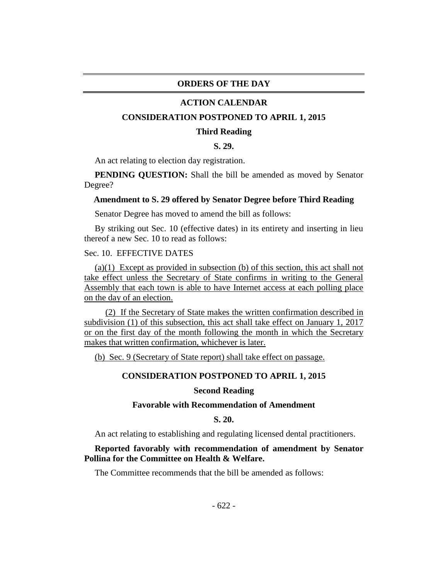#### **ORDERS OF THE DAY**

#### **ACTION CALENDAR**

#### **CONSIDERATION POSTPONED TO APRIL 1, 2015**

#### **Third Reading**

## **S. 29.**

An act relating to election day registration.

**PENDING OUESTION:** Shall the bill be amended as moved by Senator Degree?

#### **Amendment to S. 29 offered by Senator Degree before Third Reading**

Senator Degree has moved to amend the bill as follows:

By striking out Sec. 10 (effective dates) in its entirety and inserting in lieu thereof a new Sec. 10 to read as follows:

## Sec. 10. EFFECTIVE DATES

(a)(1) Except as provided in subsection (b) of this section, this act shall not take effect unless the Secretary of State confirms in writing to the General Assembly that each town is able to have Internet access at each polling place on the day of an election.

(2) If the Secretary of State makes the written confirmation described in subdivision (1) of this subsection, this act shall take effect on January 1, 2017 or on the first day of the month following the month in which the Secretary makes that written confirmation, whichever is later.

(b) Sec. 9 (Secretary of State report) shall take effect on passage.

#### **CONSIDERATION POSTPONED TO APRIL 1, 2015**

#### **Second Reading**

#### **Favorable with Recommendation of Amendment**

**S. 20.**

An act relating to establishing and regulating licensed dental practitioners.

## **Reported favorably with recommendation of amendment by Senator Pollina for the Committee on Health & Welfare.**

The Committee recommends that the bill be amended as follows: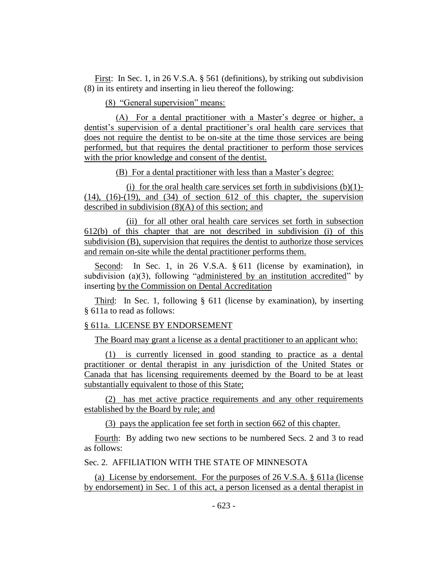First: In Sec. 1, in 26 V.S.A. § 561 (definitions), by striking out subdivision (8) in its entirety and inserting in lieu thereof the following:

(8) "General supervision" means:

(A) For a dental practitioner with a Master's degree or higher, a dentist's supervision of a dental practitioner's oral health care services that does not require the dentist to be on-site at the time those services are being performed, but that requires the dental practitioner to perform those services with the prior knowledge and consent of the dentist.

(B) For a dental practitioner with less than a Master's degree:

(i) for the oral health care services set forth in subdivisions  $(b)(1)$ - $(14)$ ,  $(16)-(19)$ , and  $(34)$  of section 612 of this chapter, the supervision described in subdivision (8)(A) of this section; and

(ii) for all other oral health care services set forth in subsection 612(b) of this chapter that are not described in subdivision (i) of this subdivision (B), supervision that requires the dentist to authorize those services and remain on-site while the dental practitioner performs them.

Second: In Sec. 1, in 26 V.S.A. § 611 (license by examination), in subdivision (a)(3), following "administered by an institution accredited" by inserting by the Commission on Dental Accreditation

Third: In Sec. 1, following § 611 (license by examination), by inserting § 611a to read as follows:

#### § 611a. LICENSE BY ENDORSEMENT

The Board may grant a license as a dental practitioner to an applicant who:

(1) is currently licensed in good standing to practice as a dental practitioner or dental therapist in any jurisdiction of the United States or Canada that has licensing requirements deemed by the Board to be at least substantially equivalent to those of this State;

(2) has met active practice requirements and any other requirements established by the Board by rule; and

(3) pays the application fee set forth in section 662 of this chapter.

Fourth: By adding two new sections to be numbered Secs. 2 and 3 to read as follows:

Sec. 2. AFFILIATION WITH THE STATE OF MINNESOTA

(a) License by endorsement. For the purposes of 26 V.S.A. § 611a (license by endorsement) in Sec. 1 of this act, a person licensed as a dental therapist in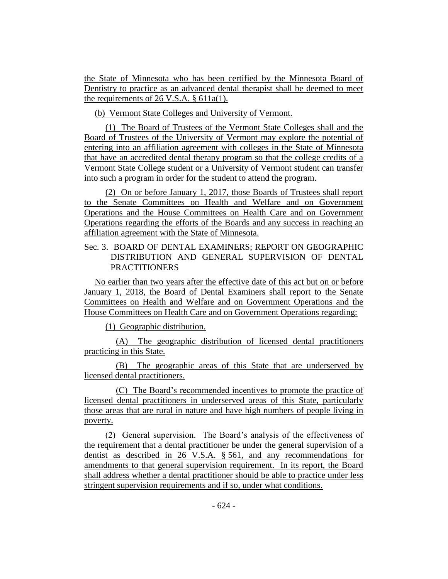the State of Minnesota who has been certified by the Minnesota Board of Dentistry to practice as an advanced dental therapist shall be deemed to meet the requirements of 26 V.S.A. § 611a(1).

(b) Vermont State Colleges and University of Vermont.

(1) The Board of Trustees of the Vermont State Colleges shall and the Board of Trustees of the University of Vermont may explore the potential of entering into an affiliation agreement with colleges in the State of Minnesota that have an accredited dental therapy program so that the college credits of a Vermont State College student or a University of Vermont student can transfer into such a program in order for the student to attend the program.

(2) On or before January 1, 2017, those Boards of Trustees shall report to the Senate Committees on Health and Welfare and on Government Operations and the House Committees on Health Care and on Government Operations regarding the efforts of the Boards and any success in reaching an affiliation agreement with the State of Minnesota.

## Sec. 3. BOARD OF DENTAL EXAMINERS; REPORT ON GEOGRAPHIC DISTRIBUTION AND GENERAL SUPERVISION OF DENTAL **PRACTITIONERS**

No earlier than two years after the effective date of this act but on or before January 1, 2018, the Board of Dental Examiners shall report to the Senate Committees on Health and Welfare and on Government Operations and the House Committees on Health Care and on Government Operations regarding:

(1) Geographic distribution.

(A) The geographic distribution of licensed dental practitioners practicing in this State.

(B) The geographic areas of this State that are underserved by licensed dental practitioners.

(C) The Board's recommended incentives to promote the practice of licensed dental practitioners in underserved areas of this State, particularly those areas that are rural in nature and have high numbers of people living in poverty.

(2) General supervision. The Board's analysis of the effectiveness of the requirement that a dental practitioner be under the general supervision of a dentist as described in 26 V.S.A. § 561, and any recommendations for amendments to that general supervision requirement. In its report, the Board shall address whether a dental practitioner should be able to practice under less stringent supervision requirements and if so, under what conditions.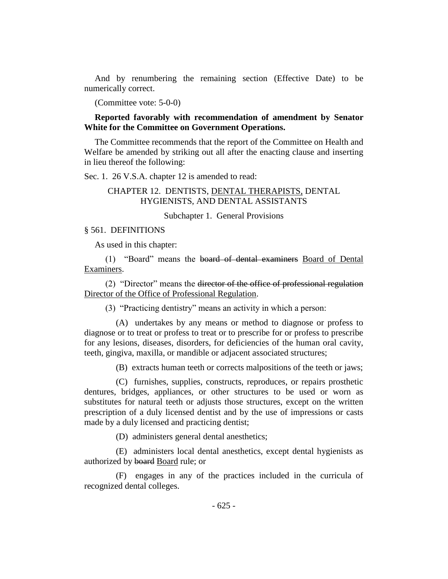And by renumbering the remaining section (Effective Date) to be numerically correct.

(Committee vote: 5-0-0)

## **Reported favorably with recommendation of amendment by Senator White for the Committee on Government Operations.**

The Committee recommends that the report of the Committee on Health and Welfare be amended by striking out all after the enacting clause and inserting in lieu thereof the following:

Sec. 1. 26 V.S.A. chapter 12 is amended to read:

## CHAPTER 12. DENTISTS, DENTAL THERAPISTS, DENTAL HYGIENISTS, AND DENTAL ASSISTANTS

Subchapter 1. General Provisions

#### § 561. DEFINITIONS

As used in this chapter:

(1) "Board" means the board of dental examiners Board of Dental Examiners.

(2) "Director" means the director of the office of professional regulation Director of the Office of Professional Regulation.

(3) "Practicing dentistry" means an activity in which a person:

(A) undertakes by any means or method to diagnose or profess to diagnose or to treat or profess to treat or to prescribe for or profess to prescribe for any lesions, diseases, disorders, for deficiencies of the human oral cavity, teeth, gingiva, maxilla, or mandible or adjacent associated structures;

(B) extracts human teeth or corrects malpositions of the teeth or jaws;

(C) furnishes, supplies, constructs, reproduces, or repairs prosthetic dentures, bridges, appliances, or other structures to be used or worn as substitutes for natural teeth or adjusts those structures, except on the written prescription of a duly licensed dentist and by the use of impressions or casts made by a duly licensed and practicing dentist;

(D) administers general dental anesthetics;

(E) administers local dental anesthetics, except dental hygienists as authorized by board Board rule; or

(F) engages in any of the practices included in the curricula of recognized dental colleges.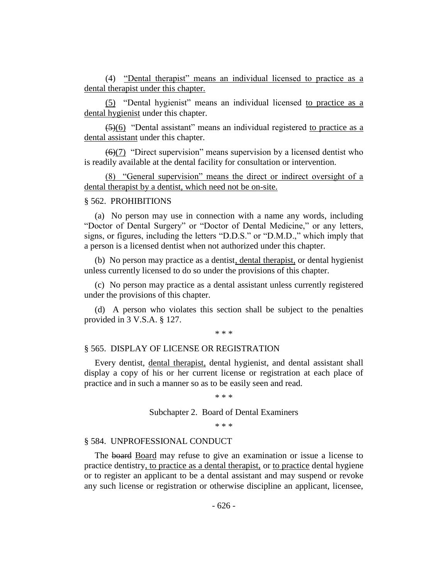(4) "Dental therapist" means an individual licensed to practice as a dental therapist under this chapter.

(5) "Dental hygienist" means an individual licensed to practice as a dental hygienist under this chapter.

 $\left(5\right)(6)$  "Dental assistant" means an individual registered to practice as a dental assistant under this chapter.

 $(6)(7)$  "Direct supervision" means supervision by a licensed dentist who is readily available at the dental facility for consultation or intervention.

(8) "General supervision" means the direct or indirect oversight of a dental therapist by a dentist, which need not be on-site.

#### § 562. PROHIBITIONS

(a) No person may use in connection with a name any words, including "Doctor of Dental Surgery" or "Doctor of Dental Medicine," or any letters, signs, or figures, including the letters "D.D.S." or "D.M.D.," which imply that a person is a licensed dentist when not authorized under this chapter.

(b) No person may practice as a dentist, dental therapist, or dental hygienist unless currently licensed to do so under the provisions of this chapter.

(c) No person may practice as a dental assistant unless currently registered under the provisions of this chapter.

(d) A person who violates this section shall be subject to the penalties provided in 3 V.S.A. § 127.

\* \* \*

#### § 565. DISPLAY OF LICENSE OR REGISTRATION

Every dentist, dental therapist, dental hygienist, and dental assistant shall display a copy of his or her current license or registration at each place of practice and in such a manner so as to be easily seen and read.

\* \* \*

Subchapter 2. Board of Dental Examiners

\* \* \*

#### § 584. UNPROFESSIONAL CONDUCT

The board Board may refuse to give an examination or issue a license to practice dentistry, to practice as a dental therapist, or to practice dental hygiene or to register an applicant to be a dental assistant and may suspend or revoke any such license or registration or otherwise discipline an applicant, licensee,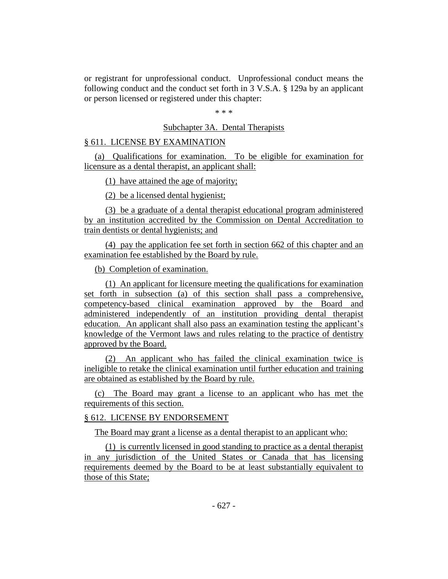or registrant for unprofessional conduct. Unprofessional conduct means the following conduct and the conduct set forth in 3 V.S.A. § 129a by an applicant or person licensed or registered under this chapter:

\* \* \*

#### Subchapter 3A. Dental Therapists

## § 611. LICENSE BY EXAMINATION

(a) Qualifications for examination. To be eligible for examination for licensure as a dental therapist, an applicant shall:

(1) have attained the age of majority;

(2) be a licensed dental hygienist;

(3) be a graduate of a dental therapist educational program administered by an institution accredited by the Commission on Dental Accreditation to train dentists or dental hygienists; and

(4) pay the application fee set forth in section 662 of this chapter and an examination fee established by the Board by rule.

(b) Completion of examination.

(1) An applicant for licensure meeting the qualifications for examination set forth in subsection (a) of this section shall pass a comprehensive, competency-based clinical examination approved by the Board and administered independently of an institution providing dental therapist education. An applicant shall also pass an examination testing the applicant's knowledge of the Vermont laws and rules relating to the practice of dentistry approved by the Board.

(2) An applicant who has failed the clinical examination twice is ineligible to retake the clinical examination until further education and training are obtained as established by the Board by rule.

(c) The Board may grant a license to an applicant who has met the requirements of this section.

#### § 612. LICENSE BY ENDORSEMENT

The Board may grant a license as a dental therapist to an applicant who:

(1) is currently licensed in good standing to practice as a dental therapist in any jurisdiction of the United States or Canada that has licensing requirements deemed by the Board to be at least substantially equivalent to those of this State;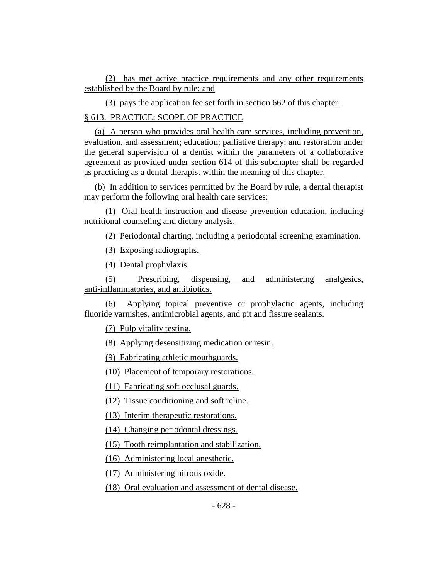(2) has met active practice requirements and any other requirements established by the Board by rule; and

(3) pays the application fee set forth in section 662 of this chapter.

§ 613. PRACTICE; SCOPE OF PRACTICE

(a) A person who provides oral health care services, including prevention, evaluation, and assessment; education; palliative therapy; and restoration under the general supervision of a dentist within the parameters of a collaborative agreement as provided under section 614 of this subchapter shall be regarded as practicing as a dental therapist within the meaning of this chapter.

(b) In addition to services permitted by the Board by rule, a dental therapist may perform the following oral health care services:

(1) Oral health instruction and disease prevention education, including nutritional counseling and dietary analysis.

(2) Periodontal charting, including a periodontal screening examination.

(3) Exposing radiographs.

(4) Dental prophylaxis.

(5) Prescribing, dispensing, and administering analgesics, anti-inflammatories, and antibiotics.

(6) Applying topical preventive or prophylactic agents, including fluoride varnishes, antimicrobial agents, and pit and fissure sealants.

(7) Pulp vitality testing.

(8) Applying desensitizing medication or resin.

(9) Fabricating athletic mouthguards.

(10) Placement of temporary restorations.

(11) Fabricating soft occlusal guards.

(12) Tissue conditioning and soft reline.

(13) Interim therapeutic restorations.

(14) Changing periodontal dressings.

(15) Tooth reimplantation and stabilization.

(16) Administering local anesthetic.

(17) Administering nitrous oxide.

(18) Oral evaluation and assessment of dental disease.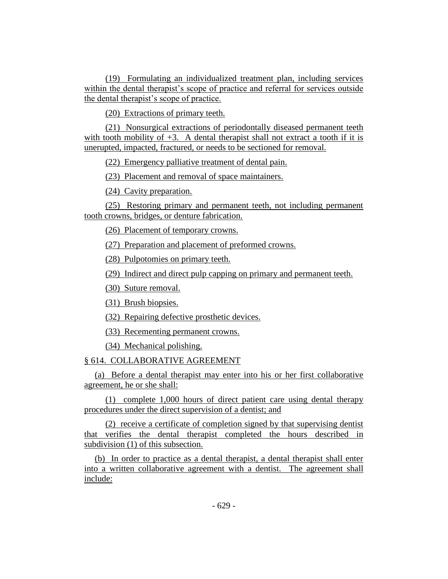(19) Formulating an individualized treatment plan, including services within the dental therapist's scope of practice and referral for services outside the dental therapist's scope of practice.

(20) Extractions of primary teeth.

(21) Nonsurgical extractions of periodontally diseased permanent teeth with tooth mobility of  $+3$ . A dental therapist shall not extract a tooth if it is unerupted, impacted, fractured, or needs to be sectioned for removal.

(22) Emergency palliative treatment of dental pain.

(23) Placement and removal of space maintainers.

(24) Cavity preparation.

(25) Restoring primary and permanent teeth, not including permanent tooth crowns, bridges, or denture fabrication.

(26) Placement of temporary crowns.

(27) Preparation and placement of preformed crowns.

(28) Pulpotomies on primary teeth.

(29) Indirect and direct pulp capping on primary and permanent teeth.

(30) Suture removal.

(31) Brush biopsies.

(32) Repairing defective prosthetic devices.

(33) Recementing permanent crowns.

(34) Mechanical polishing.

§ 614. COLLABORATIVE AGREEMENT

(a) Before a dental therapist may enter into his or her first collaborative agreement, he or she shall:

(1) complete 1,000 hours of direct patient care using dental therapy procedures under the direct supervision of a dentist; and

(2) receive a certificate of completion signed by that supervising dentist that verifies the dental therapist completed the hours described in subdivision (1) of this subsection.

(b) In order to practice as a dental therapist, a dental therapist shall enter into a written collaborative agreement with a dentist. The agreement shall include: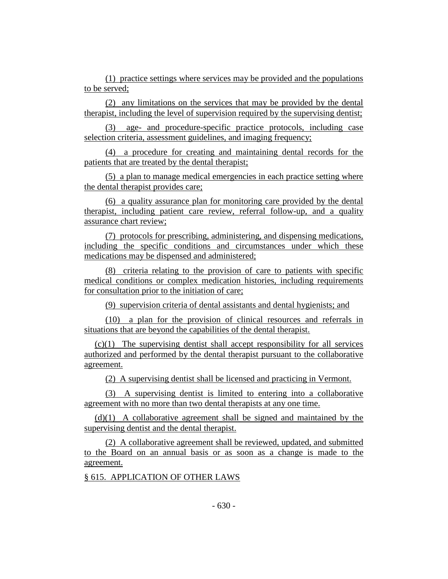(1) practice settings where services may be provided and the populations to be served;

(2) any limitations on the services that may be provided by the dental therapist, including the level of supervision required by the supervising dentist;

(3) age- and procedure-specific practice protocols, including case selection criteria, assessment guidelines, and imaging frequency;

(4) a procedure for creating and maintaining dental records for the patients that are treated by the dental therapist;

(5) a plan to manage medical emergencies in each practice setting where the dental therapist provides care;

(6) a quality assurance plan for monitoring care provided by the dental therapist, including patient care review, referral follow-up, and a quality assurance chart review;

(7) protocols for prescribing, administering, and dispensing medications, including the specific conditions and circumstances under which these medications may be dispensed and administered;

(8) criteria relating to the provision of care to patients with specific medical conditions or complex medication histories, including requirements for consultation prior to the initiation of care;

(9) supervision criteria of dental assistants and dental hygienists; and

(10) a plan for the provision of clinical resources and referrals in situations that are beyond the capabilities of the dental therapist.

(c)(1) The supervising dentist shall accept responsibility for all services authorized and performed by the dental therapist pursuant to the collaborative agreement.

(2) A supervising dentist shall be licensed and practicing in Vermont.

(3) A supervising dentist is limited to entering into a collaborative agreement with no more than two dental therapists at any one time.

(d)(1) A collaborative agreement shall be signed and maintained by the supervising dentist and the dental therapist.

(2) A collaborative agreement shall be reviewed, updated, and submitted to the Board on an annual basis or as soon as a change is made to the agreement.

§ 615. APPLICATION OF OTHER LAWS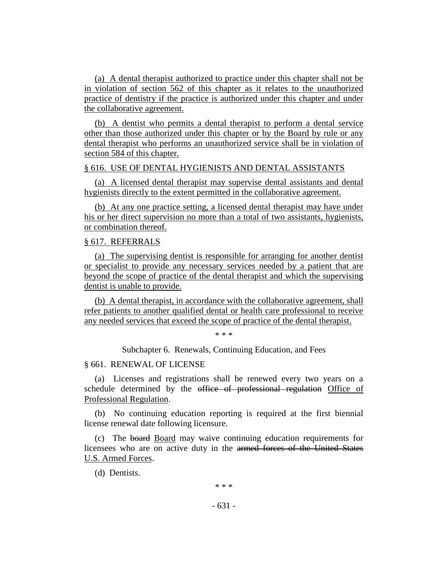(a) A dental therapist authorized to practice under this chapter shall not be in violation of section 562 of this chapter as it relates to the unauthorized practice of dentistry if the practice is authorized under this chapter and under the collaborative agreement.

(b) A dentist who permits a dental therapist to perform a dental service other than those authorized under this chapter or by the Board by rule or any dental therapist who performs an unauthorized service shall be in violation of section 584 of this chapter.

#### § 616. USE OF DENTAL HYGIENISTS AND DENTAL ASSISTANTS

(a) A licensed dental therapist may supervise dental assistants and dental hygienists directly to the extent permitted in the collaborative agreement.

(b) At any one practice setting, a licensed dental therapist may have under his or her direct supervision no more than a total of two assistants, hygienists, or combination thereof.

## § 617. REFERRALS

(a) The supervising dentist is responsible for arranging for another dentist or specialist to provide any necessary services needed by a patient that are beyond the scope of practice of the dental therapist and which the supervising dentist is unable to provide.

(b) A dental therapist, in accordance with the collaborative agreement, shall refer patients to another qualified dental or health care professional to receive any needed services that exceed the scope of practice of the dental therapist.

\* \* \*

Subchapter 6. Renewals, Continuing Education, and Fees

#### § 661. RENEWAL OF LICENSE

(a) Licenses and registrations shall be renewed every two years on a schedule determined by the office of professional regulation Office of Professional Regulation.

(b) No continuing education reporting is required at the first biennial license renewal date following licensure.

(c) The board Board may waive continuing education requirements for licensees who are on active duty in the armed forces of the United States U.S. Armed Forces.

(d) Dentists.

- 631 -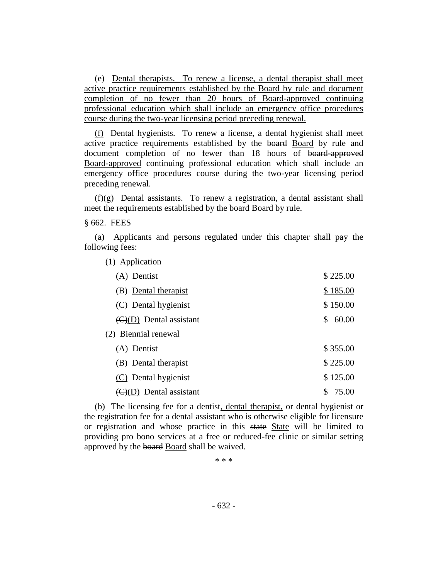(e) Dental therapists. To renew a license, a dental therapist shall meet active practice requirements established by the Board by rule and document completion of no fewer than 20 hours of Board-approved continuing professional education which shall include an emergency office procedures course during the two-year licensing period preceding renewal.

(f) Dental hygienists. To renew a license, a dental hygienist shall meet active practice requirements established by the board Board by rule and document completion of no fewer than 18 hours of board-approved Board-approved continuing professional education which shall include an emergency office procedures course during the two-year licensing period preceding renewal.

 $(f)(g)$  Dental assistants. To renew a registration, a dental assistant shall meet the requirements established by the board Board by rule.

§ 662. FEES

(a) Applicants and persons regulated under this chapter shall pay the following fees:

(1) Application

| (A) Dentist                                 | \$225.00    |
|---------------------------------------------|-------------|
| (B) Dental therapist                        | \$185.00    |
| (C) Dental hygienist                        | \$150.00    |
| $\left(\frac{C}{D}\right)$ Dental assistant | 60.00<br>\$ |
| (2) Biennial renewal                        |             |
| (A) Dentist                                 | \$355.00    |
| (B) Dental therapist                        | \$225.00    |
| (C) Dental hygienist                        | \$125.00    |
| Dental assistant                            | \$<br>75.00 |

(b) The licensing fee for a dentist, dental therapist, or dental hygienist or the registration fee for a dental assistant who is otherwise eligible for licensure or registration and whose practice in this state State will be limited to providing pro bono services at a free or reduced-fee clinic or similar setting approved by the board Board shall be waived.

\* \* \*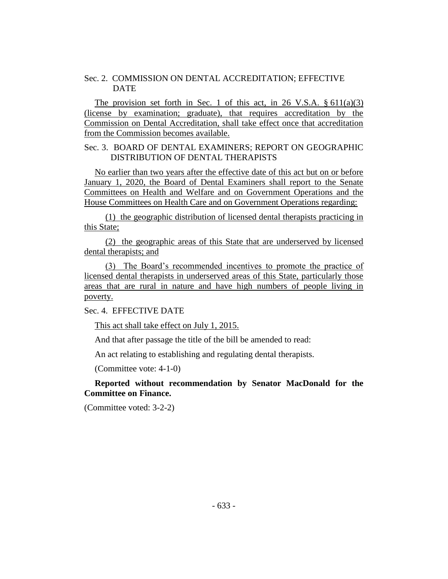## Sec. 2. COMMISSION ON DENTAL ACCREDITATION; EFFECTIVE **DATE**

The provision set forth in Sec. 1 of this act, in 26 V.S.A.  $\S 611(a)(3)$ (license by examination; graduate), that requires accreditation by the Commission on Dental Accreditation, shall take effect once that accreditation from the Commission becomes available.

## Sec. 3. BOARD OF DENTAL EXAMINERS; REPORT ON GEOGRAPHIC DISTRIBUTION OF DENTAL THERAPISTS

No earlier than two years after the effective date of this act but on or before January 1, 2020, the Board of Dental Examiners shall report to the Senate Committees on Health and Welfare and on Government Operations and the House Committees on Health Care and on Government Operations regarding:

(1) the geographic distribution of licensed dental therapists practicing in this State;

(2) the geographic areas of this State that are underserved by licensed dental therapists; and

(3) The Board's recommended incentives to promote the practice of licensed dental therapists in underserved areas of this State, particularly those areas that are rural in nature and have high numbers of people living in poverty.

Sec. 4. EFFECTIVE DATE

This act shall take effect on July 1, 2015.

And that after passage the title of the bill be amended to read:

An act relating to establishing and regulating dental therapists.

(Committee vote: 4-1-0)

**Reported without recommendation by Senator MacDonald for the Committee on Finance.**

(Committee voted: 3-2-2)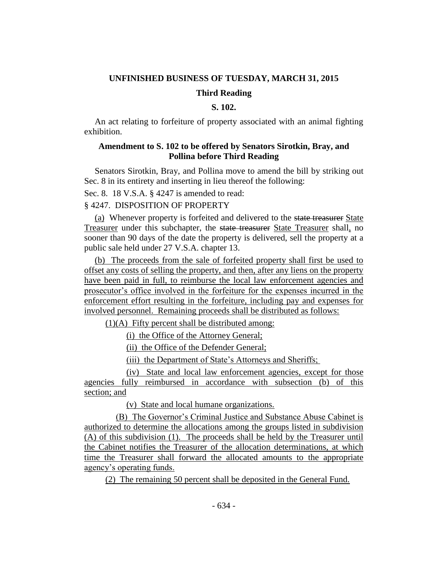#### **UNFINISHED BUSINESS OF TUESDAY, MARCH 31, 2015**

#### **Third Reading**

## **S. 102.**

An act relating to forfeiture of property associated with an animal fighting exhibition.

## **Amendment to S. 102 to be offered by Senators Sirotkin, Bray, and Pollina before Third Reading**

Senators Sirotkin, Bray, and Pollina move to amend the bill by striking out Sec. 8 in its entirety and inserting in lieu thereof the following:

Sec. 8. 18 V.S.A. § 4247 is amended to read:

## § 4247. DISPOSITION OF PROPERTY

(a) Whenever property is forfeited and delivered to the state treasurer State Treasurer under this subchapter, the state treasurer State Treasurer shall, no sooner than 90 days of the date the property is delivered, sell the property at a public sale held under 27 V.S.A. chapter 13.

(b) The proceeds from the sale of forfeited property shall first be used to offset any costs of selling the property, and then, after any liens on the property have been paid in full, to reimburse the local law enforcement agencies and prosecutor's office involved in the forfeiture for the expenses incurred in the enforcement effort resulting in the forfeiture, including pay and expenses for involved personnel. Remaining proceeds shall be distributed as follows:

(1)(A) Fifty percent shall be distributed among:

(i) the Office of the Attorney General;

(ii) the Office of the Defender General;

(iii) the Department of State's Attorneys and Sheriffs;

(iv) State and local law enforcement agencies, except for those agencies fully reimbursed in accordance with subsection (b) of this section; and

(v) State and local humane organizations.

(B) The Governor's Criminal Justice and Substance Abuse Cabinet is authorized to determine the allocations among the groups listed in subdivision (A) of this subdivision (1). The proceeds shall be held by the Treasurer until the Cabinet notifies the Treasurer of the allocation determinations, at which time the Treasurer shall forward the allocated amounts to the appropriate agency's operating funds.

(2) The remaining 50 percent shall be deposited in the General Fund.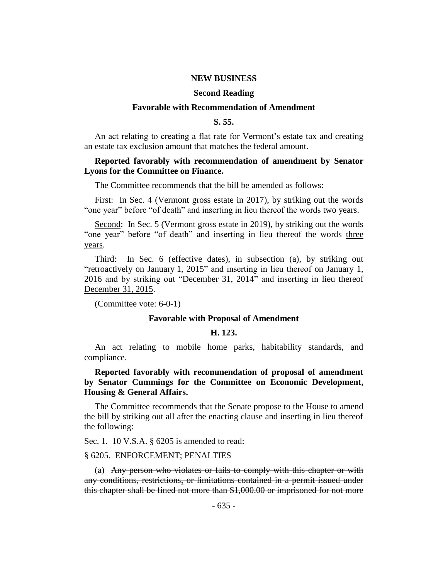#### **NEW BUSINESS**

#### **Second Reading**

#### **Favorable with Recommendation of Amendment**

#### **S. 55.**

An act relating to creating a flat rate for Vermont's estate tax and creating an estate tax exclusion amount that matches the federal amount.

#### **Reported favorably with recommendation of amendment by Senator Lyons for the Committee on Finance.**

The Committee recommends that the bill be amended as follows:

First: In Sec. 4 (Vermont gross estate in 2017), by striking out the words "one year" before "of death" and inserting in lieu thereof the words two years.

Second: In Sec. 5 (Vermont gross estate in 2019), by striking out the words "one year" before "of death" and inserting in lieu thereof the words three years.

Third: In Sec. 6 (effective dates), in subsection (a), by striking out "retroactively on January 1, 2015" and inserting in lieu thereof on January 1, 2016 and by striking out "December 31, 2014" and inserting in lieu thereof December 31, 2015.

(Committee vote: 6-0-1)

#### **Favorable with Proposal of Amendment**

#### **H. 123.**

An act relating to mobile home parks, habitability standards, and compliance.

**Reported favorably with recommendation of proposal of amendment by Senator Cummings for the Committee on Economic Development, Housing & General Affairs.**

The Committee recommends that the Senate propose to the House to amend the bill by striking out all after the enacting clause and inserting in lieu thereof the following:

Sec. 1. 10 V.S.A. § 6205 is amended to read:

#### § 6205. ENFORCEMENT; PENALTIES

(a) Any person who violates or fails to comply with this chapter or with any conditions, restrictions, or limitations contained in a permit issued under this chapter shall be fined not more than \$1,000.00 or imprisoned for not more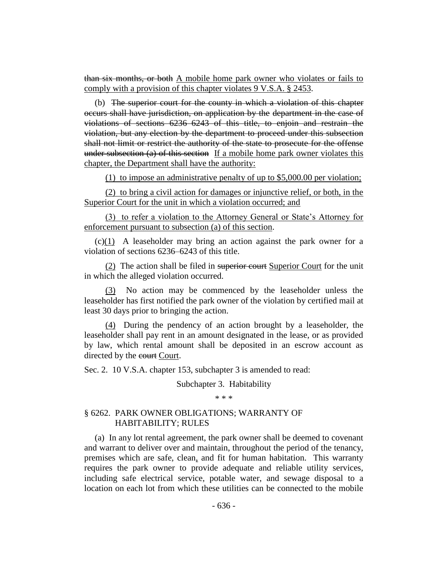than six months, or both A mobile home park owner who violates or fails to comply with a provision of this chapter violates 9 V.S.A. § 2453.

(b) The superior court for the county in which a violation of this chapter occurs shall have jurisdiction, on application by the department in the case of violations of sections 6236–6243 of this title, to enjoin and restrain the violation, but any election by the department to proceed under this subsection shall not limit or restrict the authority of the state to prosecute for the offense under subsection (a) of this section If a mobile home park owner violates this chapter, the Department shall have the authority:

(1) to impose an administrative penalty of up to \$5,000.00 per violation;

(2) to bring a civil action for damages or injunctive relief, or both, in the Superior Court for the unit in which a violation occurred; and

(3) to refer a violation to the Attorney General or State's Attorney for enforcement pursuant to subsection (a) of this section.

 $(c)(1)$  A leaseholder may bring an action against the park owner for a violation of sections 6236–6243 of this title.

(2) The action shall be filed in superior court Superior Court for the unit in which the alleged violation occurred.

(3) No action may be commenced by the leaseholder unless the leaseholder has first notified the park owner of the violation by certified mail at least 30 days prior to bringing the action.

(4) During the pendency of an action brought by a leaseholder, the leaseholder shall pay rent in an amount designated in the lease, or as provided by law, which rental amount shall be deposited in an escrow account as directed by the court Court.

Sec. 2. 10 V.S.A. chapter 153, subchapter 3 is amended to read:

#### Subchapter 3. Habitability

\* \* \*

## § 6262. PARK OWNER OBLIGATIONS; WARRANTY OF HABITABILITY; RULES

(a) In any lot rental agreement, the park owner shall be deemed to covenant and warrant to deliver over and maintain, throughout the period of the tenancy, premises which are safe, clean, and fit for human habitation. This warranty requires the park owner to provide adequate and reliable utility services, including safe electrical service, potable water, and sewage disposal to a location on each lot from which these utilities can be connected to the mobile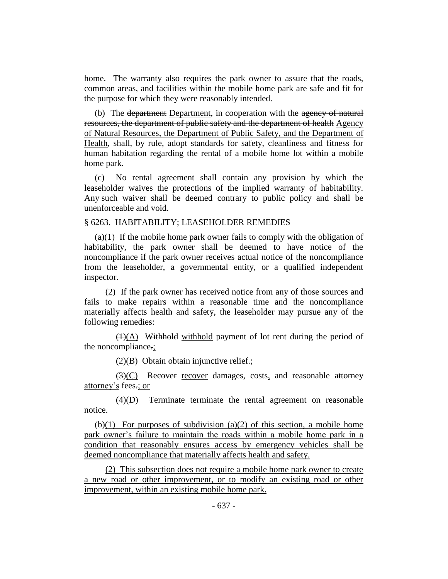home. The warranty also requires the park owner to assure that the roads, common areas, and facilities within the mobile home park are safe and fit for the purpose for which they were reasonably intended.

(b) The department Department, in cooperation with the agency of natural resources, the department of public safety and the department of health Agency of Natural Resources, the Department of Public Safety, and the Department of Health, shall, by rule, adopt standards for safety, cleanliness and fitness for human habitation regarding the rental of a mobile home lot within a mobile home park.

(c) No rental agreement shall contain any provision by which the leaseholder waives the protections of the implied warranty of habitability. Any such waiver shall be deemed contrary to public policy and shall be unenforceable and void.

#### § 6263. HABITABILITY; LEASEHOLDER REMEDIES

(a) $(1)$  If the mobile home park owner fails to comply with the obligation of habitability, the park owner shall be deemed to have notice of the noncompliance if the park owner receives actual notice of the noncompliance from the leaseholder, a governmental entity, or a qualified independent inspector.

(2) If the park owner has received notice from any of those sources and fails to make repairs within a reasonable time and the noncompliance materially affects health and safety, the leaseholder may pursue any of the following remedies:

 $(1)(A)$  Withhold withhold payment of lot rent during the period of the noncompliance.;

 $(2)(B)$  Obtain obtain injunctive relief.;

(3)(C) Recover recover damages, costs, and reasonable attorney attorney's fees.; or

 $\overline{(4)(D)}$  Terminate terminate the rental agreement on reasonable notice.

(b) $(1)$  For purposes of subdivision (a) $(2)$  of this section, a mobile home park owner's failure to maintain the roads within a mobile home park in a condition that reasonably ensures access by emergency vehicles shall be deemed noncompliance that materially affects health and safety.

(2) This subsection does not require a mobile home park owner to create a new road or other improvement, or to modify an existing road or other improvement, within an existing mobile home park.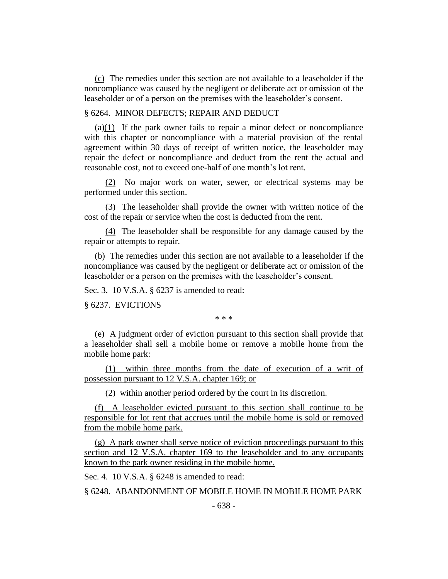(c) The remedies under this section are not available to a leaseholder if the noncompliance was caused by the negligent or deliberate act or omission of the leaseholder or of a person on the premises with the leaseholder's consent.

## § 6264. MINOR DEFECTS; REPAIR AND DEDUCT

 $(a)(1)$  If the park owner fails to repair a minor defect or noncompliance with this chapter or noncompliance with a material provision of the rental agreement within 30 days of receipt of written notice, the leaseholder may repair the defect or noncompliance and deduct from the rent the actual and reasonable cost, not to exceed one-half of one month's lot rent.

(2) No major work on water, sewer, or electrical systems may be performed under this section.

(3) The leaseholder shall provide the owner with written notice of the cost of the repair or service when the cost is deducted from the rent.

(4) The leaseholder shall be responsible for any damage caused by the repair or attempts to repair.

(b) The remedies under this section are not available to a leaseholder if the noncompliance was caused by the negligent or deliberate act or omission of the leaseholder or a person on the premises with the leaseholder's consent.

Sec. 3. 10 V.S.A. § 6237 is amended to read:

§ 6237. EVICTIONS

\* \* \*

(e) A judgment order of eviction pursuant to this section shall provide that a leaseholder shall sell a mobile home or remove a mobile home from the mobile home park:

(1) within three months from the date of execution of a writ of possession pursuant to 12 V.S.A. chapter 169; or

(2) within another period ordered by the court in its discretion.

(f) A leaseholder evicted pursuant to this section shall continue to be responsible for lot rent that accrues until the mobile home is sold or removed from the mobile home park.

(g) A park owner shall serve notice of eviction proceedings pursuant to this section and 12 V.S.A. chapter 169 to the leaseholder and to any occupants known to the park owner residing in the mobile home.

Sec. 4. 10 V.S.A. § 6248 is amended to read:

§ 6248. ABANDONMENT OF MOBILE HOME IN MOBILE HOME PARK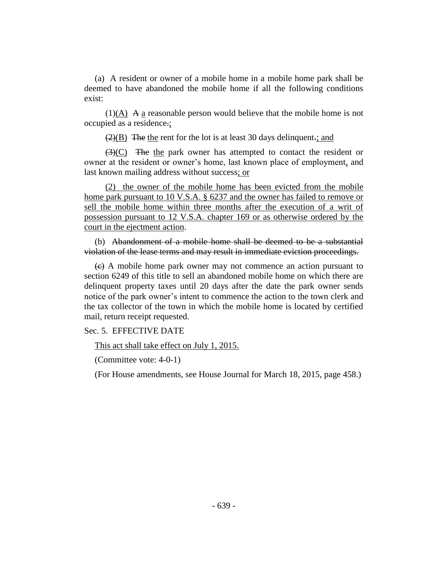(a) A resident or owner of a mobile home in a mobile home park shall be deemed to have abandoned the mobile home if all the following conditions exist:

 $(1)(A)$  A a reasonable person would believe that the mobile home is not occupied as a residence.;

 $\left(\frac{2}{B}\right)$  The the rent for the lot is at least 30 days delinquent.; and

 $\left(\frac{3}{2}\right)$  The the park owner has attempted to contact the resident or owner at the resident or owner's home, last known place of employment, and last known mailing address without success; or

(2) the owner of the mobile home has been evicted from the mobile home park pursuant to 10 V.S.A. § 6237 and the owner has failed to remove or sell the mobile home within three months after the execution of a writ of possession pursuant to 12 V.S.A. chapter 169 or as otherwise ordered by the court in the ejectment action.

(b) Abandonment of a mobile home shall be deemed to be a substantial violation of the lease terms and may result in immediate eviction proceedings.

 $\leftrightarrow$  A mobile home park owner may not commence an action pursuant to section 6249 of this title to sell an abandoned mobile home on which there are delinquent property taxes until 20 days after the date the park owner sends notice of the park owner's intent to commence the action to the town clerk and the tax collector of the town in which the mobile home is located by certified mail, return receipt requested.

Sec. 5. EFFECTIVE DATE

This act shall take effect on July 1, 2015.

(Committee vote: 4-0-1)

(For House amendments, see House Journal for March 18, 2015, page 458.)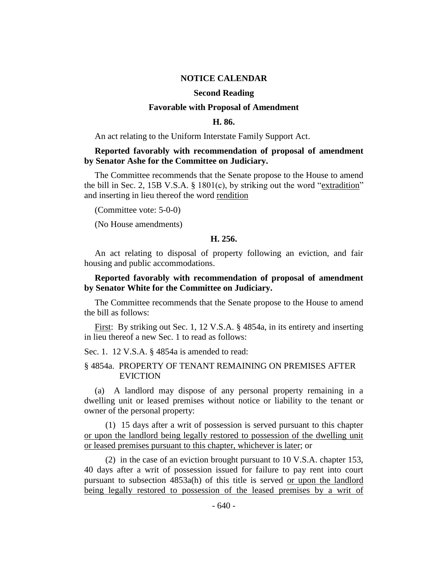#### **NOTICE CALENDAR**

#### **Second Reading**

## **Favorable with Proposal of Amendment**

#### **H. 86.**

An act relating to the Uniform Interstate Family Support Act.

## **Reported favorably with recommendation of proposal of amendment by Senator Ashe for the Committee on Judiciary.**

The Committee recommends that the Senate propose to the House to amend the bill in Sec. 2, 15B V.S.A. § 1801(c), by striking out the word "extradition" and inserting in lieu thereof the word rendition

(Committee vote: 5-0-0)

(No House amendments)

## **H. 256.**

An act relating to disposal of property following an eviction, and fair housing and public accommodations.

## **Reported favorably with recommendation of proposal of amendment by Senator White for the Committee on Judiciary.**

The Committee recommends that the Senate propose to the House to amend the bill as follows:

First: By striking out Sec. 1, 12 V.S.A. § 4854a, in its entirety and inserting in lieu thereof a new Sec. 1 to read as follows:

Sec. 1. 12 V.S.A. § 4854a is amended to read:

## § 4854a. PROPERTY OF TENANT REMAINING ON PREMISES AFTER EVICTION

(a) A landlord may dispose of any personal property remaining in a dwelling unit or leased premises without notice or liability to the tenant or owner of the personal property:

(1) 15 days after a writ of possession is served pursuant to this chapter or upon the landlord being legally restored to possession of the dwelling unit or leased premises pursuant to this chapter, whichever is later; or

(2) in the case of an eviction brought pursuant to 10 V.S.A. chapter 153, 40 days after a writ of possession issued for failure to pay rent into court pursuant to subsection 4853a(h) of this title is served or upon the landlord being legally restored to possession of the leased premises by a writ of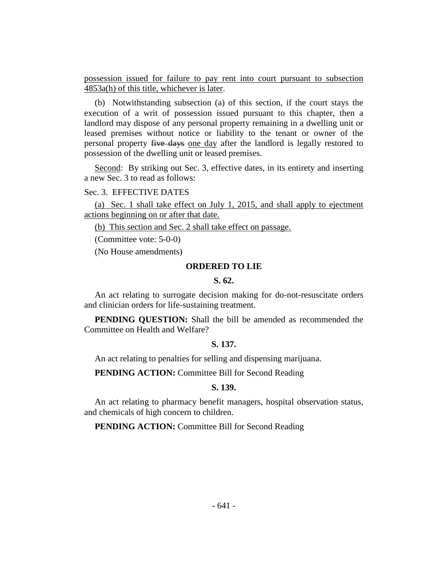possession issued for failure to pay rent into court pursuant to subsection 4853a(h) of this title, whichever is later.

(b) Notwithstanding subsection (a) of this section, if the court stays the execution of a writ of possession issued pursuant to this chapter, then a landlord may dispose of any personal property remaining in a dwelling unit or leased premises without notice or liability to the tenant or owner of the personal property five days one day after the landlord is legally restored to possession of the dwelling unit or leased premises.

Second: By striking out Sec. 3, effective dates, in its entirety and inserting a new Sec. 3 to read as follows:

#### Sec. 3. EFFECTIVE DATES

(a) Sec. 1 shall take effect on July 1, 2015, and shall apply to ejectment actions beginning on or after that date.

(b) This section and Sec. 2 shall take effect on passage.

(Committee vote: 5-0-0)

(No House amendments)

## **ORDERED TO LIE**

## **S. 62.**

An act relating to surrogate decision making for do-not-resuscitate orders and clinician orders for life-sustaining treatment.

**PENDING QUESTION:** Shall the bill be amended as recommended the Committee on Health and Welfare?

## **S. 137.**

An act relating to penalties for selling and dispensing marijuana.

**PENDING ACTION:** Committee Bill for Second Reading

## **S. 139.**

An act relating to pharmacy benefit managers, hospital observation status, and chemicals of high concern to children.

**PENDING ACTION:** Committee Bill for Second Reading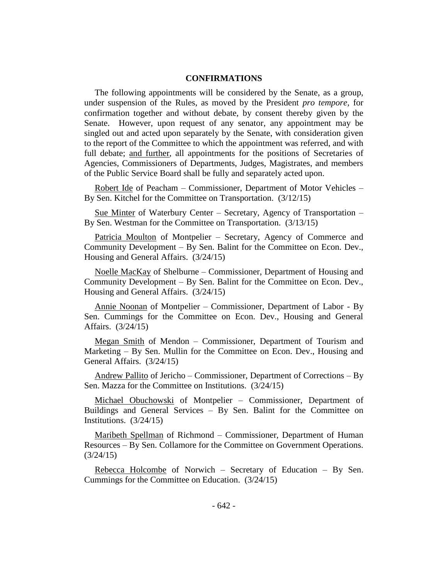## **CONFIRMATIONS**

The following appointments will be considered by the Senate, as a group, under suspension of the Rules, as moved by the President *pro tempore,* for confirmation together and without debate, by consent thereby given by the Senate. However, upon request of any senator, any appointment may be singled out and acted upon separately by the Senate, with consideration given to the report of the Committee to which the appointment was referred, and with full debate; and further, all appointments for the positions of Secretaries of Agencies, Commissioners of Departments, Judges, Magistrates, and members of the Public Service Board shall be fully and separately acted upon.

Robert Ide of Peacham – Commissioner, Department of Motor Vehicles – By Sen. Kitchel for the Committee on Transportation. (3/12/15)

Sue Minter of Waterbury Center – Secretary, Agency of Transportation – By Sen. Westman for the Committee on Transportation. (3/13/15)

Patricia Moulton of Montpelier - Secretary, Agency of Commerce and Community Development – By Sen. Balint for the Committee on Econ. Dev., Housing and General Affairs. (3/24/15)

Noelle MacKay of Shelburne – Commissioner, Department of Housing and Community Development – By Sen. Balint for the Committee on Econ. Dev., Housing and General Affairs. (3/24/15)

Annie Noonan of Montpelier – Commissioner, Department of Labor - By Sen. Cummings for the Committee on Econ. Dev., Housing and General Affairs. (3/24/15)

Megan Smith of Mendon – Commissioner, Department of Tourism and Marketing – By Sen. Mullin for the Committee on Econ. Dev., Housing and General Affairs. (3/24/15)

Andrew Pallito of Jericho – Commissioner, Department of Corrections – By Sen. Mazza for the Committee on Institutions. (3/24/15)

Michael Obuchowski of Montpelier – Commissioner, Department of Buildings and General Services – By Sen. Balint for the Committee on Institutions. (3/24/15)

Maribeth Spellman of Richmond – Commissioner, Department of Human Resources – By Sen. Collamore for the Committee on Government Operations.  $(3/24/15)$ 

Rebecca Holcombe of Norwich – Secretary of Education – By Sen. Cummings for the Committee on Education. (3/24/15)